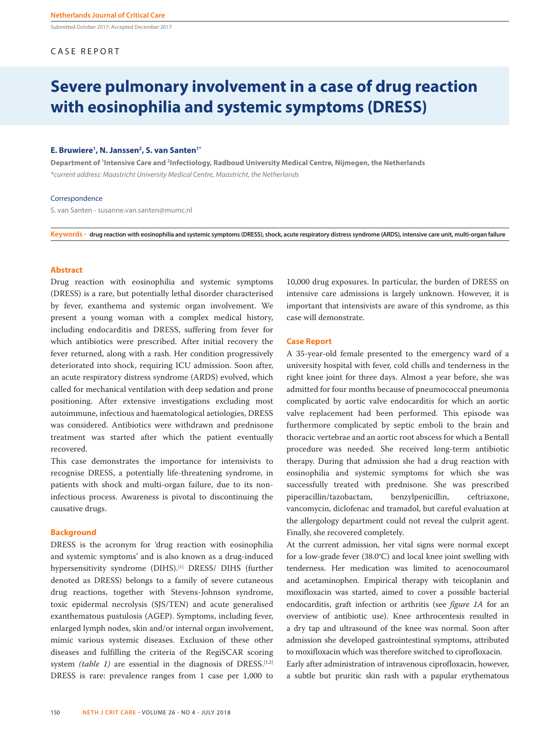Submitted October 2017; Accepted December 2017

# CASE REPORT

# **Severe pulmonary involvement in a case of drug reaction with eosinophilia and systemic symptoms (DRESS)**

## **E. Bruwiere1 , N. Janssen2 , S. van Santen1\***

**Department of 1 Intensive Care and 2 Infectiology, Radboud University Medical Centre, Nijmegen, the Netherlands** *\*current address: Maastricht University Medical Centre, Maastricht, the Netherlands*

#### Correspondence

S. van Santen - susanne.van.santen@mumc.nl

**Keywords - drug reaction with eosinophilia and systemic symptoms (DRESS), shock, acute respiratory distress syndrome (ARDS), intensive care unit, multi-organ failure**

## **Abstract**

Drug reaction with eosinophilia and systemic symptoms (DRESS) is a rare, but potentially lethal disorder characterised by fever, exanthema and systemic organ involvement. We present a young woman with a complex medical history, including endocarditis and DRESS, suffering from fever for which antibiotics were prescribed. After initial recovery the fever returned, along with a rash. Her condition progressively deteriorated into shock, requiring ICU admission. Soon after, an acute respiratory distress syndrome (ARDS) evolved, which called for mechanical ventilation with deep sedation and prone positioning. After extensive investigations excluding most autoimmune, infectious and haematological aetiologies, DRESS was considered. Antibiotics were withdrawn and prednisone treatment was started after which the patient eventually recovered.

This case demonstrates the importance for intensivists to recognise DRESS, a potentially life-threatening syndrome, in patients with shock and multi-organ failure, due to its noninfectious process. Awareness is pivotal to discontinuing the causative drugs.

## **Background**

DRESS is the acronym for 'drug reaction with eosinophilia and systemic symptoms' and is also known as a drug-induced hypersensitivity syndrome (DIHS).<sup>[1]</sup> DRESS/ DIHS (further denoted as DRESS) belongs to a family of severe cutaneous drug reactions, together with Stevens-Johnson syndrome, toxic epidermal necrolysis (SJS/TEN) and acute generalised exanthematous pustulosis (AGEP). Symptoms, including fever, enlarged lymph nodes, skin and/or internal organ involvement, mimic various systemic diseases. Exclusion of these other diseases and fulfilling the criteria of the RegiSCAR scoring system *(table 1)* are essential in the diagnosis of DRESS.<sup>[1,2]</sup> DRESS is rare: prevalence ranges from 1 case per 1,000 to

10,000 drug exposures. In particular, the burden of DRESS on intensive care admissions is largely unknown. However, it is important that intensivists are aware of this syndrome, as this case will demonstrate.

## **Case Report**

A 35-year-old female presented to the emergency ward of a university hospital with fever, cold chills and tenderness in the right knee joint for three days. Almost a year before, she was admitted for four months because of pneumococcal pneumonia complicated by aortic valve endocarditis for which an aortic valve replacement had been performed. This episode was furthermore complicated by septic emboli to the brain and thoracic vertebrae and an aortic root abscess for which a Bentall procedure was needed. She received long-term antibiotic therapy. During that admission she had a drug reaction with eosinophilia and systemic symptoms for which she was successfully treated with prednisone. She was prescribed piperacillin/tazobactam, benzylpenicillin, ceftriaxone, vancomycin, diclofenac and tramadol, but careful evaluation at the allergology department could not reveal the culprit agent. Finally, she recovered completely.

At the current admission, her vital signs were normal except for a low-grade fever (38.0°C) and local knee joint swelling with tenderness. Her medication was limited to acenocoumarol and acetaminophen. Empirical therapy with teicoplanin and moxifloxacin was started, aimed to cover a possible bacterial endocarditis, graft infection or arthritis (see *figure 1A* for an overview of antibiotic use). Knee arthrocentesis resulted in a dry tap and ultrasound of the knee was normal. Soon after admission she developed gastrointestinal symptoms, attributed to moxifloxacin which was therefore switched to ciprofloxacin.

Early after administration of intravenous ciprofloxacin, however, a subtle but pruritic skin rash with a papular erythematous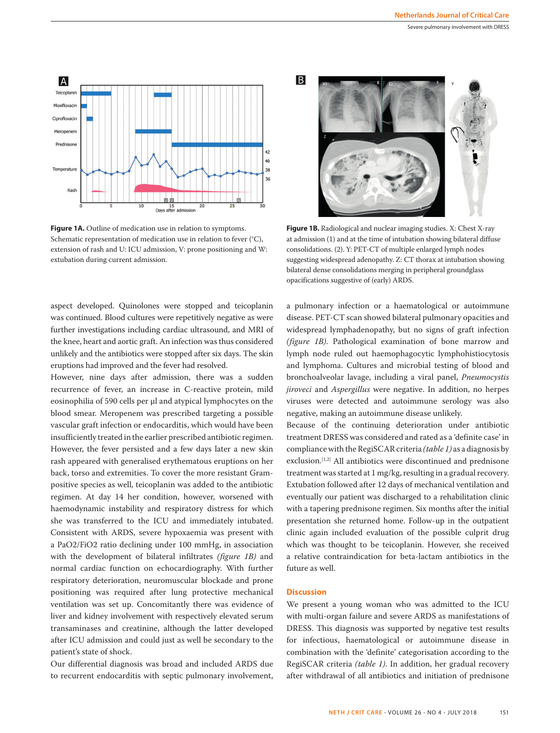

Figure 1A. Outline of medication use in relation to symptoms. Schematic representation of medication use in relation to fever (°C), extension of rash and U: ICU admission, V: prone positioning and W: extubation during current admission.

aspect developed. Quinolones were stopped and teicoplanin was continued. Blood cultures were repetitively negative as were further investigations including cardiac ultrasound, and MRI of the knee, heart and aortic graft. An infection was thus considered unlikely and the antibiotics were stopped after six days. The skin eruptions had improved and the fever had resolved.

However, nine days after admission, there was a sudden recurrence of fever, an increase in C-reactive protein, mild eosinophilia of 590 cells per µl and atypical lymphocytes on the blood smear. Meropenem was prescribed targeting a possible vascular graft infection or endocarditis, which would have been insufficiently treated in the earlier prescribed antibiotic regimen. However, the fever persisted and a few days later a new skin rash appeared with generalised erythematous eruptions on her back, torso and extremities. To cover the more resistant Grampositive species as well, teicoplanin was added to the antibiotic regimen. At day 14 her condition, however, worsened with haemodynamic instability and respiratory distress for which she was transferred to the ICU and immediately intubated. Consistent with ARDS, severe hypoxaemia was present with a PaO2/FiO2 ratio declining under 100 mmHg, in association with the development of bilateral infiltrates *(figure 1B)* and normal cardiac function on echocardiography. With further respiratory deterioration, neuromuscular blockade and prone positioning was required after lung protective mechanical ventilation was set up. Concomitantly there was evidence of liver and kidney involvement with respectively elevated serum transaminases and creatinine, although the latter developed after ICU admission and could just as well be secondary to the patient's state of shock.

Our differential diagnosis was broad and included ARDS due to recurrent endocarditis with septic pulmonary involvement,



**Figure 1B.** Radiological and nuclear imaging studies. X: Chest X-ray at admission (1) and at the time of intubation showing bilateral diffuse consolidations. (2). Y: PET-CT of multiple enlarged lymph nodes suggesting widespread adenopathy. Z: CT thorax at intubation showing bilateral dense consolidations merging in peripheral groundglass opacifications suggestive of (early) ARDS.

a pulmonary infection or a haematological or autoimmune disease. PET-CT scan showed bilateral pulmonary opacities and widespread lymphadenopathy, but no signs of graft infection *(figure 1B)*. Pathological examination of bone marrow and lymph node ruled out haemophagocytic lymphohistiocytosis and lymphoma. Cultures and microbial testing of blood and bronchoalveolar lavage, including a viral panel, *Pneumocystis jiroveci* and *Aspergillus* were negative. In addition, no herpes viruses were detected and autoimmune serology was also negative, making an autoimmune disease unlikely.

Because of the continuing deterioration under antibiotic treatment DRESS was considered and rated as a 'definite case' in compliance with the RegiSCAR criteria *(table 1)* as a diagnosis by exclusion.<sup>[1,2]</sup> All antibiotics were discontinued and prednisone treatment was started at 1 mg/kg, resulting in a gradual recovery. Extubation followed after 12 days of mechanical ventilation and eventually our patient was discharged to a rehabilitation clinic with a tapering prednisone regimen. Six months after the initial presentation she returned home. Follow-up in the outpatient clinic again included evaluation of the possible culprit drug which was thought to be teicoplanin. However, she received a relative contraindication for beta-lactam antibiotics in the future as well.

## **Discussion**

We present a young woman who was admitted to the ICU with multi-organ failure and severe ARDS as manifestations of DRESS. This diagnosis was supported by negative test results for infectious, haematological or autoimmune disease in combination with the 'definite' categorisation according to the RegiSCAR criteria *(table 1)*. In addition, her gradual recovery after withdrawal of all antibiotics and initiation of prednisone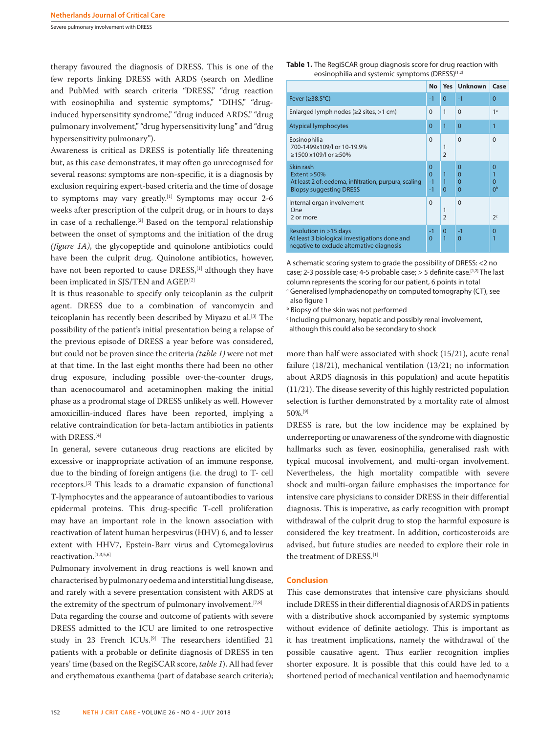Severe pulmonary involvement with DRESS

therapy favoured the diagnosis of DRESS. This is one of the few reports linking DRESS with ARDS (search on Medline and PubMed with search criteria "DRESS," "drug reaction with eosinophilia and systemic symptoms," "DIHS," "druginduced hypersensitity syndrome," "drug induced ARDS," "drug pulmonary involvement," "drug hypersensitivity lung" and "drug hypersensitivity pulmonary").

Awareness is critical as DRESS is potentially life threatening but, as this case demonstrates, it may often go unrecognised for several reasons: symptoms are non-specific, it is a diagnosis by exclusion requiring expert-based criteria and the time of dosage to symptoms may vary greatly.<sup>[1]</sup> Symptoms may occur 2-6 weeks after prescription of the culprit drug, or in hours to days in case of a rechallenge.[2] Based on the temporal relationship between the onset of symptoms and the initiation of the drug *(figure 1A)*, the glycopeptide and quinolone antibiotics could have been the culprit drug. Quinolone antibiotics, however, have not been reported to cause DRESS,<sup>[1]</sup> although they have been implicated in SJS/TEN and AGEP.[2]

It is thus reasonable to specify only teicoplanin as the culprit agent. DRESS due to a combination of vancomycin and teicoplanin has recently been described by Miyazu et al.<sup>[3]</sup> The possibility of the patient's initial presentation being a relapse of the previous episode of DRESS a year before was considered, but could not be proven since the criteria *(table 1)* were not met at that time. In the last eight months there had been no other drug exposure, including possible over-the-counter drugs, than acenocoumarol and acetaminophen making the initial phase as a prodromal stage of DRESS unlikely as well. However amoxicillin-induced flares have been reported, implying a relative contraindication for beta-lactam antibiotics in patients with DRESS.<sup>[4]</sup>

In general, severe cutaneous drug reactions are elicited by excessive or inappropriate activation of an immune response, due to the binding of foreign antigens (i.e. the drug) to T- cell receptors.[5] This leads to a dramatic expansion of functional T-lymphocytes and the appearance of autoantibodies to various epidermal proteins. This drug-specific T-cell proliferation may have an important role in the known association with reactivation of latent human herpesvirus (HHV) 6, and to lesser extent with HHV7, Epstein-Barr virus and Cytomegalovirus reactivation.<sup>[1,3,5,6]</sup>

Pulmonary involvement in drug reactions is well known and characterised by pulmonary oedema and interstitial lung disease, and rarely with a severe presentation consistent with ARDS at the extremity of the spectrum of pulmonary involvement.<sup>[7,8]</sup>

Data regarding the course and outcome of patients with severe DRESS admitted to the ICU are limited to one retrospective study in 23 French ICUs.[9] The researchers identified 21 patients with a probable or definite diagnosis of DRESS in ten years' time (based on the RegiSCAR score, *table 1*). All had fever and erythematous exanthema (part of database search criteria); **Table 1.** The RegiSCAR group diagnosis score for drug reaction with eosinophilia and systemic symptoms (DRESS)<sup>[1,2]</sup>

|                                                                                                                        | <b>No</b>                                  | <b>Yes</b>          | <b>Unknown</b>                               | Case                                      |
|------------------------------------------------------------------------------------------------------------------------|--------------------------------------------|---------------------|----------------------------------------------|-------------------------------------------|
| Fever (≥38.5°C)                                                                                                        | $-1$                                       | $\Omega$            | $-1$                                         | $\overline{0}$                            |
| Enlarged lymph nodes ( $\geq$ 2 sites, $>$ 1 cm)                                                                       | $\Omega$                                   | $\mathbf{1}$        | $\Omega$                                     | 1 <sup>a</sup>                            |
| <b>Atypical lymphocytes</b>                                                                                            | $\overline{0}$                             | 1                   | $\overline{0}$                               | 1                                         |
| Eosinophilia<br>700-1499x109/l or 10-19.9%<br>≥1500 x109/l or ≥50%                                                     | $\Omega$                                   | 1<br>$\overline{2}$ | $\Omega$                                     | $\Omega$                                  |
| Skin rash<br>Extent $>50\%$<br>At least 2 of: oedema, infiltration, purpura, scaling<br><b>Biopsy suggesting DRESS</b> | $\Omega$<br>$\overline{0}$<br>$-1$<br>$-1$ | 1<br>$\overline{0}$ | $\Omega$<br>$\Omega$<br>$\Omega$<br>$\Omega$ | $\mathbf 0$<br>$\Omega$<br>0 <sup>b</sup> |
| Internal organ involvement<br>One<br>2 or more                                                                         | $\Omega$                                   | 1<br>$\overline{2}$ | $\Omega$                                     | 2 <sup>c</sup>                            |
| Resolution in >15 days<br>At least 3 biological investigations done and<br>negative to exclude alternative diagnosis   | $-1$<br>$\Omega$                           | $\overline{0}$<br>1 | $-1$<br>$\overline{0}$                       | $\overline{0}$<br>1                       |

A schematic scoring system to grade the possibility of DRESS: <2 no case; 2-3 possible case; 4-5 probable case; > 5 definite case.<sup>[1,2]</sup> The last column represents the scoring for our patient, 6 points in total

<sup>a</sup> Generalised lymphadenopathy on computed tomography (CT), see also figure 1

**b** Biopsy of the skin was not performed

c Including pulmonary, hepatic and possibly renal involvement,

although this could also be secondary to shock

more than half were associated with shock (15/21), acute renal failure (18/21), mechanical ventilation (13/21; no information about ARDS diagnosis in this population) and acute hepatitis (11/21). The disease severity of this highly restricted population selection is further demonstrated by a mortality rate of almost 50%.[9]

DRESS is rare, but the low incidence may be explained by underreporting or unawareness of the syndrome with diagnostic hallmarks such as fever, eosinophilia, generalised rash with typical mucosal involvement, and multi-organ involvement. Nevertheless, the high mortality compatible with severe shock and multi-organ failure emphasises the importance for intensive care physicians to consider DRESS in their differential diagnosis. This is imperative, as early recognition with prompt withdrawal of the culprit drug to stop the harmful exposure is considered the key treatment. In addition, corticosteroids are advised, but future studies are needed to explore their role in the treatment of DRESS.[1]

# **Conclusion**

This case demonstrates that intensive care physicians should include DRESS in their differential diagnosis of ARDS in patients with a distributive shock accompanied by systemic symptoms without evidence of definite aetiology. This is important as it has treatment implications, namely the withdrawal of the possible causative agent. Thus earlier recognition implies shorter exposure. It is possible that this could have led to a shortened period of mechanical ventilation and haemodynamic